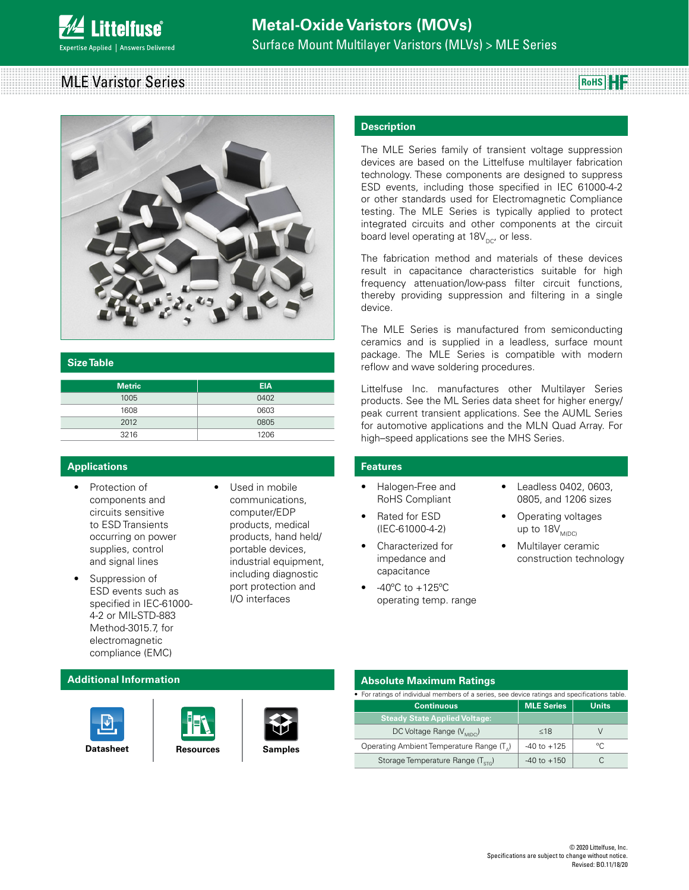## MLE Varistor Series **RoHS**



#### **Size Table**

| <b>Metric</b> | <b>EIA</b> |
|---------------|------------|
| 1005          | 0402       |
| 1608          | 0603       |
| 2012          | 0805       |
| 3216          | 1206       |

## **Applications**

- Protection of components and circuits sensitive to ESD Transients occurring on power supplies, control and signal lines
- Suppression of ESD events such as specified in IEC-61000- 4-2 or MIL-STD-883 Method-3015.7, for electromagnetic compliance (EMC)
- Used in mobile communications, computer/EDP products, medical products, hand held/ portable devices, industrial equipment, including diagnostic port protection and I/O interfaces

#### **Description**

The MLE Series family of transient voltage suppression devices are based on the Littelfuse multilayer fabrication technology. These components are designed to suppress ESD events, including those specified in IEC 61000-4-2 or other standards used for Electromagnetic Compliance testing. The MLE Series is typically applied to protect integrated circuits and other components at the circuit board level operating at  $18V_{\text{pc}}$ , or less.

The fabrication method and materials of these devices result in capacitance characteristics suitable for high frequency attenuation/low-pass filter circuit functions, thereby providing suppression and filtering in a single device.

The MLE Series is manufactured from semiconducting ceramics and is supplied in a leadless, surface mount package. The MLE Series is compatible with modern reflow and wave soldering procedures.

Littelfuse Inc. manufactures other Multilayer Series products. See the ML Series data sheet for higher energy/ peak current transient applications. See the AUML Series for automotive applications and the MLN Quad Array. For high–speed applications see the MHS Series.

#### **Features**

- Halogen-Free and RoHS Compliant
- Rated for ESD (IEC-61000-4-2)
- Characterized for impedance and capacitance
- $-40^{\circ}$ C to  $+125^{\circ}$ C operating temp. range
- Leadless 0402, 0603, 0805, and 1206 sizes
- Operating voltages up to  $18V_{M(DC)}$
- Multilayer ceramic construction technology

#### **Additional Information**







#### **Absolute Maximum Ratings**

| • For ratings of individual members of a series, see device ratings and specifications table. |                   |              |  |  |  |
|-----------------------------------------------------------------------------------------------|-------------------|--------------|--|--|--|
| <b>Continuous</b>                                                                             | <b>MLE Series</b> | <b>Units</b> |  |  |  |
| <b>Steady State Applied Voltage:</b>                                                          |                   |              |  |  |  |
| DC Voltage Range (V <sub>MDC</sub> )                                                          | <18               |              |  |  |  |
| Operating Ambient Temperature Range (T <sub>^</sub> )                                         | $-40$ to $+125$   | $^{\circ}$   |  |  |  |
| Storage Temperature Range (T <sub>crc</sub> )                                                 | $-40$ to $+150$   |              |  |  |  |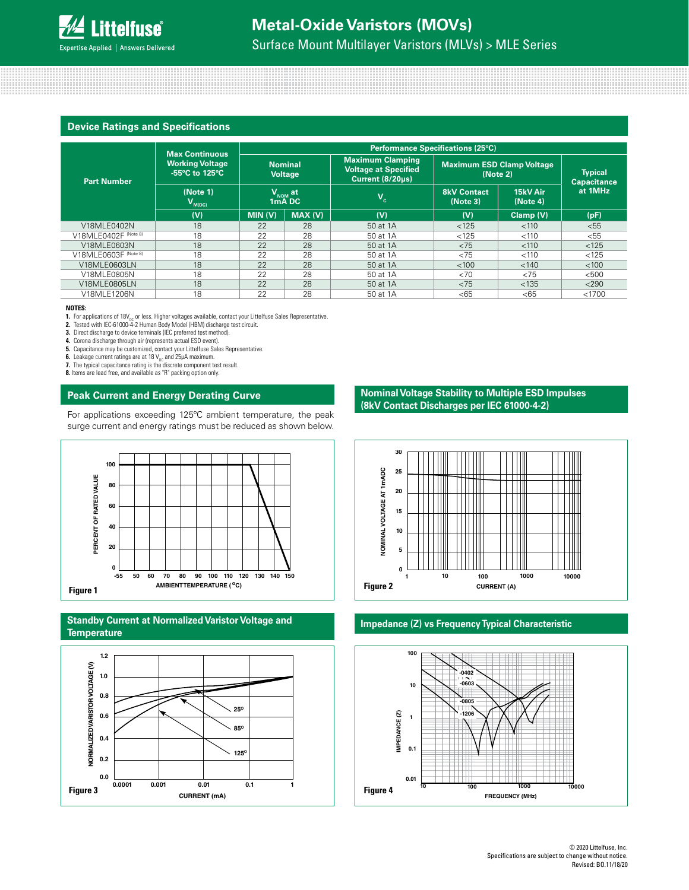# **Device Ratings and Specifications**

|                      |                                                                   | <b>Performance Specifications (25°C)</b>                                |         |                                                                            |                                                        |           |                                                 |  |
|----------------------|-------------------------------------------------------------------|-------------------------------------------------------------------------|---------|----------------------------------------------------------------------------|--------------------------------------------------------|-----------|-------------------------------------------------|--|
| <b>Part Number</b>   | <b>Max Continuous</b><br><b>Working Voltage</b><br>-55°C to 125°C | <b>Nominal</b><br><b>Voltage</b><br>$V_{NOM}$ at<br>1 <sub>m</sub> A DC |         | <b>Maximum Clamping</b><br><b>Voltage at Specified</b><br>Current (8/20us) | <b>Maximum ESD Clamp Voltage</b><br>(Note 2)           |           | <b>Typical</b><br><b>Capacitance</b><br>at 1MHz |  |
|                      | (Note 1)<br>$V_{M(DC)}$                                           |                                                                         |         | $\mathsf{v}_{\scriptscriptstyle \mathsf{c}}$                               | 15kV Air<br><b>8kV Contact</b><br>(Note 3)<br>(Note 4) |           |                                                 |  |
|                      | (V)                                                               | MIN (V)                                                                 | MAX (V) | (V)                                                                        | (V)                                                    | Clamp (V) | (pF)                                            |  |
| V18MLE0402N          | 18                                                                | 22                                                                      | 28      | 50 at 1A                                                                   | < 125                                                  | < 110     | < 55                                            |  |
| V18MLE0402F (Note 8) | 18                                                                | 22                                                                      | 28      | 50 at 1A                                                                   | < 125                                                  | < 110     | < 55                                            |  |
| V18MLE0603N          | 18                                                                | 22                                                                      | 28      | 50 at 1A                                                                   | < 75                                                   | < 110     | < 125                                           |  |
| V18MLE0603F (Note 8) | 18                                                                | 22                                                                      | 28      | 50 at 1A                                                                   | < 75                                                   | < 110     | < 125                                           |  |
| V18MLE0603LN         | 18                                                                | 22                                                                      | 28      | 50 at 1A                                                                   | < 100                                                  | < 140     | < 100                                           |  |
| V18MLE0805N          | 18                                                                | 22                                                                      | 28      | 50 at 1A                                                                   | <70                                                    | < 75      | < 500                                           |  |
| V18MLE0805LN         | 18                                                                | 22                                                                      | 28      | 50 at 1A                                                                   | < 75                                                   | < 135     | < 290                                           |  |
| V18MLE1206N          | 18                                                                | 22                                                                      | 28      | 50 at 1A                                                                   | < 65                                                   | < 65      | < 1700                                          |  |

#### **NOTES:**

**1.** For applications of 18V<sub>DC</sub> or less. Higher voltages available, contact your Littelfuse Sales Representative.<br>**2.** Tested with IEC-61000-4-2 Human Body Model (HBM) discharge test circuit.

**3.** Direct discharge to device terminals (IEC preferred test method).

**4.** Corona discharge through air (represents actual ESD event).

5. Capacitance may be customized, contact your Littelfuse Sales Representative.<br>6. Leakage current ratings are at 18 V<sub>oc</sub> and 25µA maximum.<br>7. The typical capacitance rating is the discrete component test result.

**8.** Items are lead free, and available as "R" packing option only.

## **Peak Current and Energy Derating Curve**

For applications exceeding 125ºC ambient temperature, the peak surge current and energy ratings must be reduced as shown below.



#### **Standby Current at Normalized Varistor Voltage and Temperature Impedance (Z) vs Frequency Typical Characteristic**



**Nominal Voltage Stability to Multiple ESD Impulses (8kV Contact Discharges per IEC 61000-4-2)**



# **PER IEC 61000-4-2)**

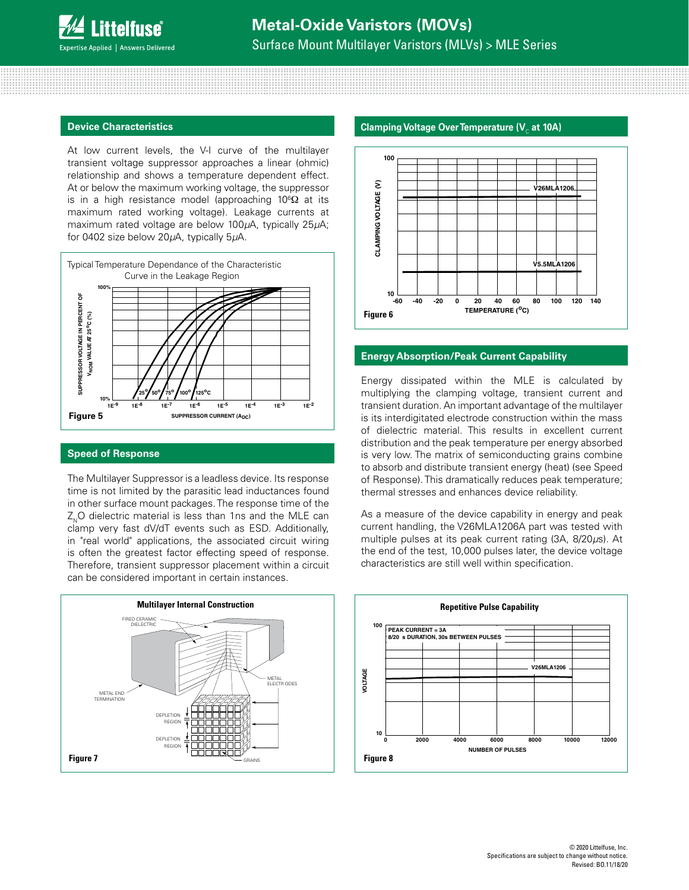#### **Device Characteristics**

At low current levels, the V-I curve of the multilayer transient voltage suppressor approaches a linear (ohmic) relationship and shows a temperature dependent effect. At or below the maximum working voltage, the suppressor is in a high resistance model (approaching 10 ${}^{6}\Omega$  at its maximum rated working voltage). Leakage currents at maximum rated voltage are below 100*µ*A, typically 25*µ*A; for 0402 size below 20*µ*A, typically 5*µ*A.



#### **Speed of Response**

The Multilayer Suppressor is a leadless device. Its response time is not limited by the parasitic lead inductances found in other surface mount packages. The response time of the Z<sub>N</sub>O dielectric material is less than 1ns and the MLE can clamp very fast dV/dT events such as ESD. Additionally, in "real world" applications, the associated circuit wiring is often the greatest factor effecting speed of response. Therefore, transient suppressor placement within a circuit can be considered important in certain instances.



#### **Clamping Voltage Over Temperature (V<sub>c</sub> at 10A)**



#### **Energy Absorption/Peak Current Capability**

Energy dissipated within the MLE is calculated by multiplying the clamping voltage, transient current and transient duration. An important advantage of the multilayer is its interdigitated electrode construction within the mass of dielectric material. This results in excellent current distribution and the peak temperature per energy absorbed is very low. The matrix of semiconducting grains combine to absorb and distribute transient energy (heat) (see Speed of Response). This dramatically reduces peak temperature; thermal stresses and enhances device reliability.

As a measure of the device capability in energy and peak current handling, the V26MLA1206A part was tested with multiple pulses at its peak current rating (3A, 8/20*µ*s). At the end of the test, 10,000 pulses later, the device voltage characteristics are still well within specification.

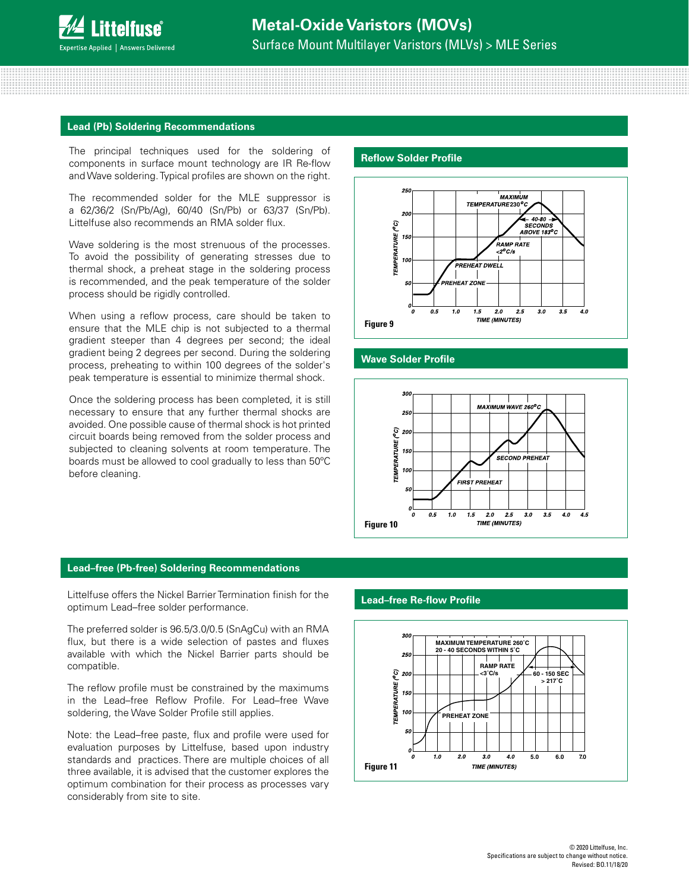#### **Lead (Pb) Soldering Recommendations**

The principal techniques used for the soldering of components in surface mount technology are IR Re-flow and Wave soldering. Typical profiles are shown on the right.

The recommended solder for the MLE suppressor is a 62/36/2 (Sn/Pb/Ag), 60/40 (Sn/Pb) or 63/37 (Sn/Pb). Littelfuse also recommends an RMA solder flux.

Wave soldering is the most strenuous of the processes. To avoid the possibility of generating stresses due to thermal shock, a preheat stage in the soldering process is recommended, and the peak temperature of the solder process should be rigidly controlled.

When using a reflow process, care should be taken to ensure that the MLE chip is not subjected to a thermal gradient steeper than 4 degrees per second; the ideal gradient being 2 degrees per second. During the soldering process, preheating to within 100 degrees of the solder's peak temperature is essential to minimize thermal shock.

Once the soldering process has been completed, it is still necessary to ensure that any further thermal shocks are avoided. One possible cause of thermal shock is hot printed circuit boards being removed from the solder process and subjected to cleaning solvents at room temperature. The boards must be allowed to cool gradually to less than 50ºC before cleaning.

#### **Reflow Solder Profile**



## **5. Wave Solder Profile**



#### **Lead–free (Pb-free) Soldering Recommendations**

Littelfuse offers the Nickel Barrier Termination finish for the optimum Lead–free solder performance.

The preferred solder is 96.5/3.0/0.5 (SnAgCu) with an RMA flux, but there is a wide selection of pastes and fluxes available with which the Nickel Barrier parts should be compatible.

The reflow profile must be constrained by the maximums in the Lead–free Reflow Profile. For Lead–free Wave soldering, the Wave Solder Profile still applies.

Note: the Lead–free paste, flux and profile were used for evaluation purposes by Littelfuse, based upon industry standards and practices. There are multiple choices of all three available, it is advised that the customer explores the optimum combination for their process as processes vary considerably from site to site.

#### $\blacksquare$  Lead–free Re-flow Profile **1999 1999 1999 1999 1999**



**RAMP RATE**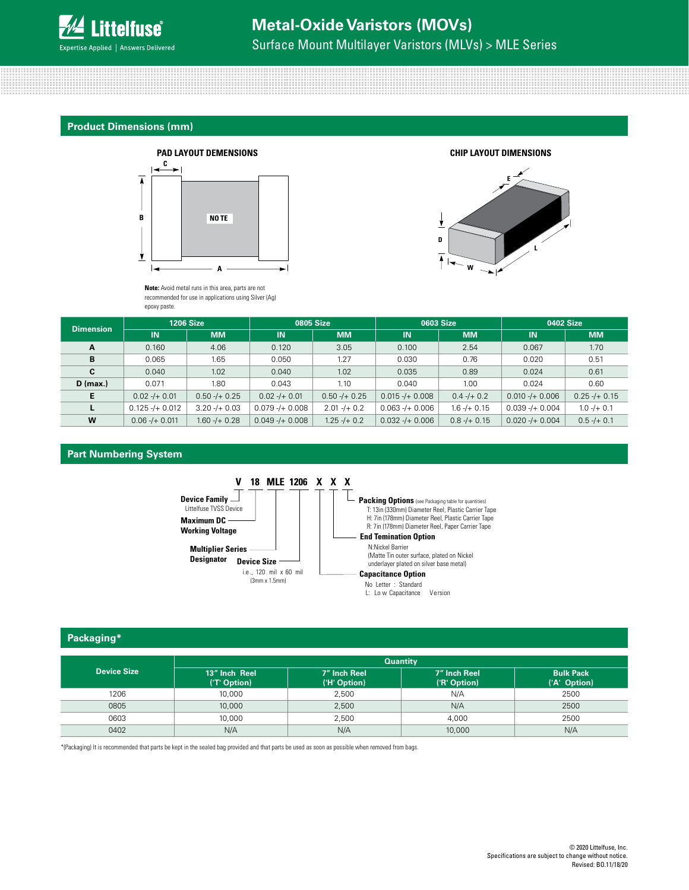

#### **Product Dimensions (mm)**



**Note:** Avoid metal runs in this area, parts are not recommended for use in applications using Silver (Ag)<br>onexy paste epoxy paste.  $\mathsf{c}_i$  use in applications use in applications use in applications using signals using signals using signals using  $\mathsf{c}_i$ 



| <b>Dimension</b> | <b>1206 Size</b>  |                   | <b>0805 Size</b>  |                  | 0603 Size         |                  | 0402 Size         |                   |
|------------------|-------------------|-------------------|-------------------|------------------|-------------------|------------------|-------------------|-------------------|
|                  | <b>IN</b>         | <b>MM</b>         | IN.               | <b>MM</b>        | IN                | <b>MM</b>        | <b>IN</b>         | <b>MM</b>         |
| A                | 0.160             | 4.06              | 0.120             | 3.05             | 0.100             | 2.54             | 0.067             | 1.70              |
| В                | 0.065             | 1.65              | 0.050             | 1.27             | 0.030             | 0.76             | 0.020             | 0.51              |
| C                | 0.040             | 1.02              | 0.040             | 1.02             | 0.035             | 0.89             | 0.024             | 0.61              |
| $D$ (max.)       | 0.071             | 1.80              | 0.043             | 1.10             | 0.040             | 1.00             | 0.024             | 0.60              |
| E.               | $0.02 - 4 + 0.01$ | $0.50 - + 0.25$   | $0.02 - 4 + 0.01$ | $0.50 - + 0.25$  | $0.015 - 40.008$  | $0.4 - 1 + 0.2$  | $0.010 - + 0.006$ | $0.25 - 4 + 0.15$ |
|                  | $0.125 - 40.012$  | $3.20 - 1 + 0.03$ | $0.079 - + 0.008$ | $2.01 - 40.2$    | $0.063 - 40.006$  | $1.6 - 1 + 0.15$ | $0.039 - + 0.004$ | $1.0 -/+0.1$      |
| W                | $0.06 - 40.011$   | $1.60 - 1 + 0.28$ | $0.049 - + 0.008$ | $1.25 - 1 + 0.2$ | $0.032 - + 0.006$ | $0.8 - 4 0.15$   | $0.020 - + 0.004$ | $0.5 - 4 + 0.1$   |

#### **Part Numbering System**



#### **Packaging\***

|                    | <b>Quantity</b>               |                              |                              |                                  |  |  |  |
|--------------------|-------------------------------|------------------------------|------------------------------|----------------------------------|--|--|--|
| <b>Device Size</b> | 13" Inch Reel<br>('T' Option) | 7" Inch Reel<br>('H' Option) | 7" Inch Reel<br>('R' Option) | <b>Bulk Pack</b><br>('A' Option) |  |  |  |
| 1206               | 10,000                        | 2.500                        | N/A                          | 2500                             |  |  |  |
| 0805               | 10,000                        | 2.500                        | N/A                          | 2500                             |  |  |  |
| 0603               | 10,000                        | 2,500                        | 4,000                        | 2500                             |  |  |  |
| 0402               | N/A                           | N/A                          | 10,000                       | N/A                              |  |  |  |

\*(Packaging) It is recommended that parts be kept in the sealed bag provided and that parts be used as soon as possible when removed from bags.